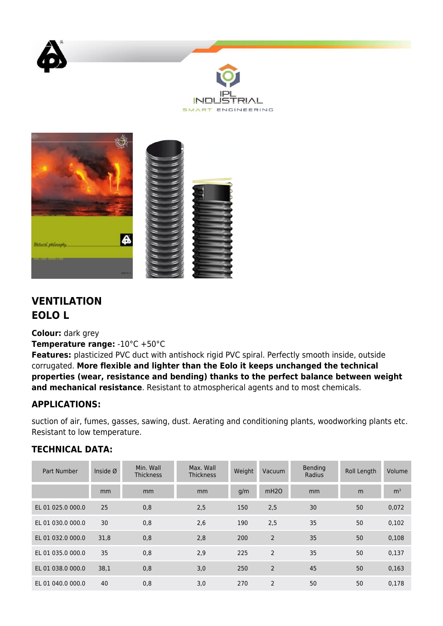





## **VENTILATION EOLO L**

**Colour:** dark grey

**Temperature range:** -10°C +50°C

**Features:** plasticized PVC duct with antishock rigid PVC spiral. Perfectly smooth inside, outside corrugated. **More flexible and lighter than the Eolo it keeps unchanged the technical properties (wear, resistance and bending) thanks to the perfect balance between weight and mechanical resistance**. Resistant to atmospherical agents and to most chemicals.

## **APPLICATIONS:**

suction of air, fumes, gasses, sawing, dust. Aerating and conditioning plants, woodworking plants etc. Resistant to low temperature.

## **TECHNICAL DATA:**

| Part Number       | Inside $\varnothing$ | Min. Wall<br><b>Thickness</b> | Max. Wall<br><b>Thickness</b> | Weight | Vacuum         | Bending<br>Radius | Roll Length | Volume         |
|-------------------|----------------------|-------------------------------|-------------------------------|--------|----------------|-------------------|-------------|----------------|
|                   | mm                   | mm                            | mm                            | q/m    | mH2O           | mm                | m           | m <sup>3</sup> |
| EL 01 025.0 000.0 | 25                   | 0,8                           | 2,5                           | 150    | 2,5            | 30                | 50          | 0,072          |
| EL 01 030.0 000.0 | 30                   | 0,8                           | 2,6                           | 190    | 2,5            | 35                | 50          | 0,102          |
| EL 01 032.0 000.0 | 31,8                 | 0,8                           | 2,8                           | 200    | $\overline{2}$ | 35                | 50          | 0,108          |
| EL 01 035.0 000.0 | 35                   | 0,8                           | 2,9                           | 225    | $\overline{2}$ | 35                | 50          | 0,137          |
| EL 01 038.0 000.0 | 38,1                 | 0,8                           | 3,0                           | 250    | $\overline{2}$ | 45                | 50          | 0,163          |
| EL 01 040.0 000.0 | 40                   | 0,8                           | 3,0                           | 270    | 2              | 50                | 50          | 0,178          |